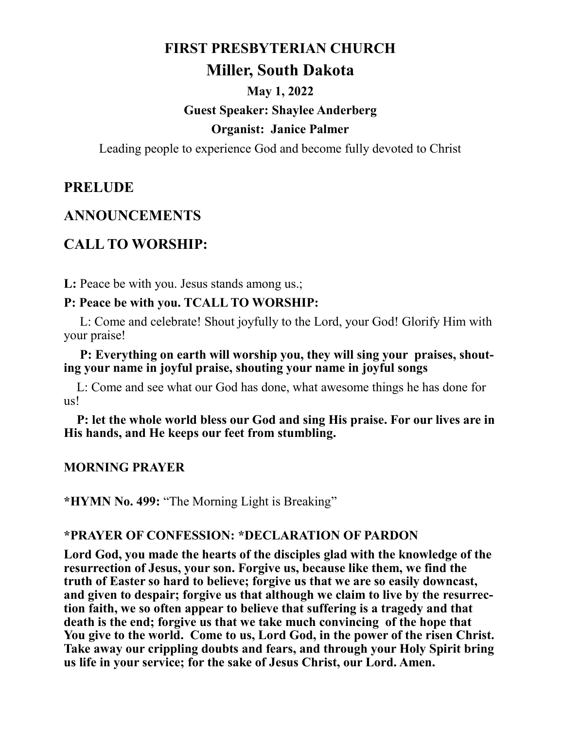#### **FIRST PRESBYTERIAN CHURCH**

## **Miller, South Dakota**

# **May 1, 2022 Guest Speaker: Shaylee Anderberg Organist: Janice Palmer**

Leading people to experience God and become fully devoted to Christ

### **PRELUDE**

### **ANNOUNCEMENTS**

# **CALL TO WORSHIP:**

L: Peace be with you. Jesus stands among us.;

#### **P: Peace be with you. TCALL TO WORSHIP:**

L: Come and celebrate! Shout joyfully to the Lord, your God! Glorify Him with your praise!

#### **P: Everything on earth will worship you, they will sing your praises, shouting your name in joyful praise, shouting your name in joyful songs**

L: Come and see what our God has done, what awesome things he has done for us!

 **P: let the whole world bless our God and sing His praise. For our lives are in His hands, and He keeps our feet from stumbling.**

#### **MORNING PRAYER**

**\*HYMN No. 499:** "The Morning Light is Breaking"

#### **\*PRAYER OF CONFESSION: \*DECLARATION OF PARDON**

**Lord God, you made the hearts of the disciples glad with the knowledge of the resurrection of Jesus, your son. Forgive us, because like them, we find the truth of Easter so hard to believe; forgive us that we are so easily downcast, and given to despair; forgive us that although we claim to live by the resurrection faith, we so often appear to believe that suffering is a tragedy and that death is the end; forgive us that we take much convincing of the hope that**  You give to the world. Come to us, Lord God, in the power of the risen Christ. **Take away our crippling doubts and fears, and through your Holy Spirit bring us life in your service; for the sake of Jesus Christ, our Lord. Amen.**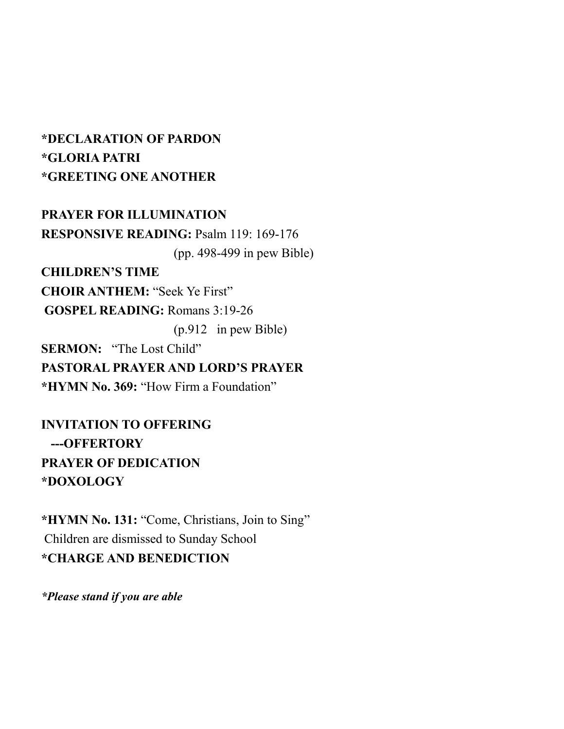# **\*DECLARATION OF PARDON \*GLORIA PATRI \*GREETING ONE ANOTHER**

**PRAYER FOR ILLUMINATION RESPONSIVE READING:** Psalm 119: 169-176 (pp. 498-499 in pew Bible) **CHILDREN'S TIME CHOIR ANTHEM:** "Seek Ye First" **GOSPEL READING:** Romans 3:19-26 (p.912 in pew Bible) **SERMON:** "The Lost Child" **PASTORAL PRAYER AND LORD'S PRAYER \*HYMN No. 369:** "How Firm a Foundation"

**INVITATION TO OFFERING ---OFFERTORY PRAYER OF DEDICATION \*DOXOLOGY**

**\*HYMN No. 131:** "Come, Christians, Join to Sing" Children are dismissed to Sunday School **\*CHARGE AND BENEDICTION**

*\*Please stand if you are able*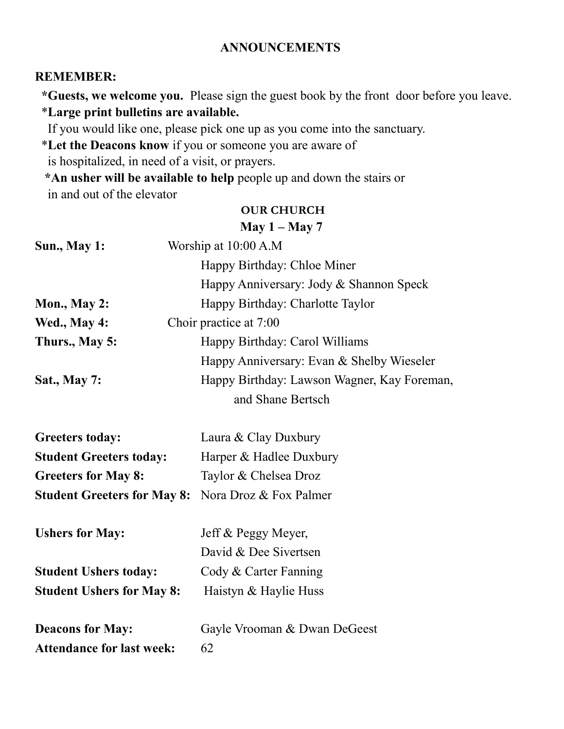#### **ANNOUNCEMENTS**

#### **REMEMBER:**

 **\*Guests, we welcome you.** Please sign the guest book by the front door before you leave. \***Large print bulletins are available.** 

If you would like one, please pick one up as you come into the sanctuary.

\***Let the Deacons know** if you or someone you are aware of

is hospitalized, in need of a visit, or prayers.

 **\*An usher will be available to help** people up and down the stairs or in and out of the elevator

#### **OUR CHURCH**

|                                        | May $1 -$ May 7                             |
|----------------------------------------|---------------------------------------------|
| <b>Sun., May 1:</b>                    | Worship at 10:00 A.M                        |
|                                        | Happy Birthday: Chloe Miner                 |
|                                        | Happy Anniversary: Jody & Shannon Speck     |
| <b>Mon., May 2:</b>                    | Happy Birthday: Charlotte Taylor            |
| Wed., May 4:<br>Choir practice at 7:00 |                                             |
| Thurs., May 5:                         | Happy Birthday: Carol Williams              |
|                                        | Happy Anniversary: Evan & Shelby Wieseler   |
| <b>Sat., May 7:</b>                    | Happy Birthday: Lawson Wagner, Kay Foreman, |
|                                        | and Shane Bertsch                           |
| <b>Greeters today:</b>                 | Laura & Clay Duxbury                        |
| <b>Student Greeters today:</b>         | Harper & Hadlee Duxbury                     |
| <b>Greeters for May 8:</b>             | Taylor & Chelsea Droz                       |
| <b>Student Greeters for May 8:</b>     | Nora Droz & Fox Palmer                      |
| <b>Ushers for May:</b>                 | Jeff & Peggy Meyer,                         |
|                                        | David & Dee Sivertsen                       |
| <b>Student Ushers today:</b>           | Cody & Carter Fanning                       |
| <b>Student Ushers for May 8:</b>       | Haistyn & Haylie Huss                       |
| <b>Deacons for May:</b>                | Gayle Vrooman & Dwan DeGeest                |
| <b>Attendance for last week:</b>       | 62                                          |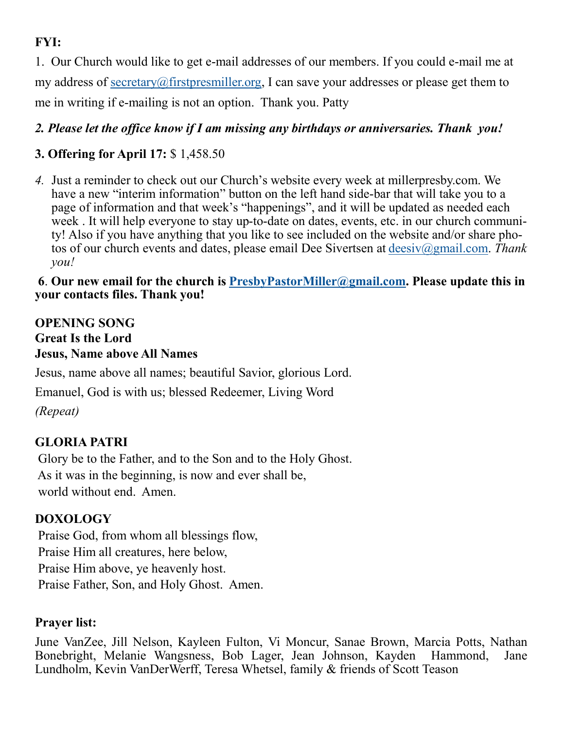# **FYI:**

1. Our Church would like to get e-mail addresses of our members. If you could e-mail me at my address of [secretary@firstpresmiller.org,](mailto:secretary@firstpresmiller.org) I can save your addresses or please get them to me in writing if e-mailing is not an option. Thank you. Patty

# *2. Please let the office know if I am missing any birthdays or anniversaries. Thank you!*

# **3. Offering for April 17:** \$ 1,458.50

*4.* Just a reminder to check out our Church's website every week at millerpresby.com. We have a new "interim information" button on the left hand side-bar that will take you to a page of information and that week's "happenings", and it will be updated as needed each week . It will help everyone to stay up-to-date on dates, events, etc. in our church community! Also if you have anything that you like to see included on the website and/or share photos of our church events and dates, please email Dee Sivertsen at [deesiv@gmail.com.](mailto:deesiv@gmail.com) *Thank you!*

### **6**. **Our new email for the church is [PresbyPastorMiller@gmail.com.](mailto:PresbyPastorMiller@gmail.com) Please update this in your contacts files. Thank you!**

### **OPENING SONG Great Is the Lord Jesus, Name above All Names**

Jesus, name above all names; beautiful Savior, glorious Lord.

Emanuel, God is with us; blessed Redeemer, Living Word

*(Repeat)*

# **GLORIA PATRI**

Glory be to the Father, and to the Son and to the Holy Ghost. As it was in the beginning, is now and ever shall be, world without end. Amen.

## **DOXOLOGY**

Praise God, from whom all blessings flow, Praise Him all creatures, here below, Praise Him above, ye heavenly host. Praise Father, Son, and Holy Ghost. Amen.

## **Prayer list:**

June VanZee, Jill Nelson, Kayleen Fulton, Vi Moncur, Sanae Brown, Marcia Potts, Nathan Bonebright, Melanie Wangsness, Bob Lager, Jean Johnson, Kayden Hammond, Jane Lundholm, Kevin VanDerWerff, Teresa Whetsel, family & friends of Scott Teason